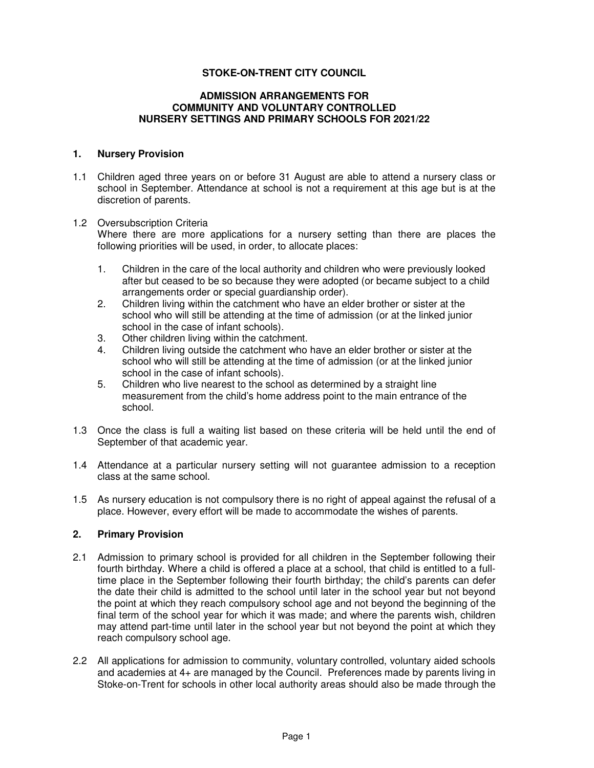# **STOKE-ON-TRENT CITY COUNCIL**

### **ADMISSION ARRANGEMENTS FOR COMMUNITY AND VOLUNTARY CONTROLLED NURSERY SETTINGS AND PRIMARY SCHOOLS FOR 2021/22**

#### **1. Nursery Provision**

1.1 Children aged three years on or before 31 August are able to attend a nursery class or school in September. Attendance at school is not a requirement at this age but is at the discretion of parents.

#### 1.2 Oversubscription Criteria

Where there are more applications for a nursery setting than there are places the following priorities will be used, in order, to allocate places:

- 1. Children in the care of the local authority and children who were previously looked after but ceased to be so because they were adopted (or became subject to a child arrangements order or special guardianship order).
- 2. Children living within the catchment who have an elder brother or sister at the school who will still be attending at the time of admission (or at the linked junior school in the case of infant schools).
- 3. Other children living within the catchment.
- 4. Children living outside the catchment who have an elder brother or sister at the school who will still be attending at the time of admission (or at the linked junior school in the case of infant schools).
- 5. Children who live nearest to the school as determined by a straight line measurement from the child's home address point to the main entrance of the school.
- 1.3 Once the class is full a waiting list based on these criteria will be held until the end of September of that academic year.
- 1.4 Attendance at a particular nursery setting will not guarantee admission to a reception class at the same school.
- 1.5 As nursery education is not compulsory there is no right of appeal against the refusal of a place. However, every effort will be made to accommodate the wishes of parents.

## **2. Primary Provision**

- 2.1 Admission to primary school is provided for all children in the September following their fourth birthday. Where a child is offered a place at a school, that child is entitled to a fulltime place in the September following their fourth birthday; the child's parents can defer the date their child is admitted to the school until later in the school year but not beyond the point at which they reach compulsory school age and not beyond the beginning of the final term of the school year for which it was made; and where the parents wish, children may attend part-time until later in the school year but not beyond the point at which they reach compulsory school age.
- 2.2 All applications for admission to community, voluntary controlled, voluntary aided schools and academies at 4+ are managed by the Council. Preferences made by parents living in Stoke-on-Trent for schools in other local authority areas should also be made through the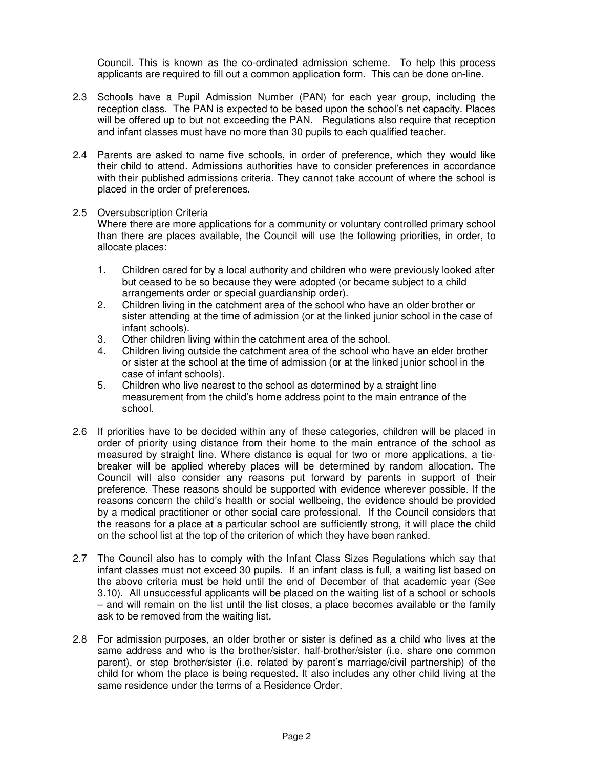Council. This is known as the co-ordinated admission scheme. To help this process applicants are required to fill out a common application form. This can be done on-line.

- 2.3 Schools have a Pupil Admission Number (PAN) for each year group, including the reception class. The PAN is expected to be based upon the school's net capacity. Places will be offered up to but not exceeding the PAN. Regulations also require that reception and infant classes must have no more than 30 pupils to each qualified teacher.
- 2.4 Parents are asked to name five schools, in order of preference, which they would like their child to attend. Admissions authorities have to consider preferences in accordance with their published admissions criteria. They cannot take account of where the school is placed in the order of preferences.

## 2.5 Oversubscription Criteria

Where there are more applications for a community or voluntary controlled primary school than there are places available, the Council will use the following priorities, in order, to allocate places:

- 1. Children cared for by a local authority and children who were previously looked after but ceased to be so because they were adopted (or became subject to a child arrangements order or special guardianship order).
- 2. Children living in the catchment area of the school who have an older brother or sister attending at the time of admission (or at the linked junior school in the case of infant schools).
- 3. Other children living within the catchment area of the school.
- 4. Children living outside the catchment area of the school who have an elder brother or sister at the school at the time of admission (or at the linked junior school in the case of infant schools).
- 5. Children who live nearest to the school as determined by a straight line measurement from the child's home address point to the main entrance of the school.
- 2.6 If priorities have to be decided within any of these categories, children will be placed in order of priority using distance from their home to the main entrance of the school as measured by straight line. Where distance is equal for two or more applications, a tiebreaker will be applied whereby places will be determined by random allocation. The Council will also consider any reasons put forward by parents in support of their preference. These reasons should be supported with evidence wherever possible. If the reasons concern the child's health or social wellbeing, the evidence should be provided by a medical practitioner or other social care professional. If the Council considers that the reasons for a place at a particular school are sufficiently strong, it will place the child on the school list at the top of the criterion of which they have been ranked.
- 2.7 The Council also has to comply with the Infant Class Sizes Regulations which say that infant classes must not exceed 30 pupils. If an infant class is full, a waiting list based on the above criteria must be held until the end of December of that academic year (See 3.10). All unsuccessful applicants will be placed on the waiting list of a school or schools – and will remain on the list until the list closes, a place becomes available or the family ask to be removed from the waiting list.
- 2.8 For admission purposes, an older brother or sister is defined as a child who lives at the same address and who is the brother/sister, half-brother/sister (i.e. share one common parent), or step brother/sister (i.e. related by parent's marriage/civil partnership) of the child for whom the place is being requested. It also includes any other child living at the same residence under the terms of a Residence Order.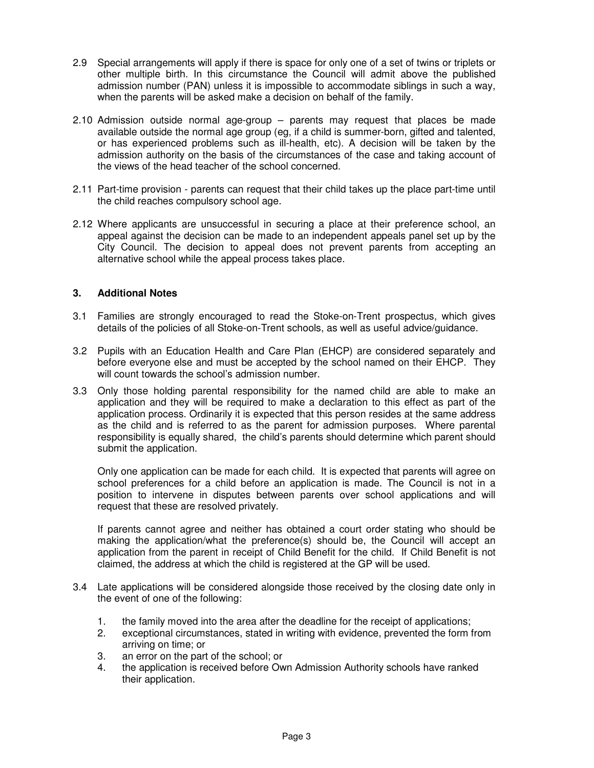- 2.9 Special arrangements will apply if there is space for only one of a set of twins or triplets or other multiple birth. In this circumstance the Council will admit above the published admission number (PAN) unless it is impossible to accommodate siblings in such a way, when the parents will be asked make a decision on behalf of the family.
- 2.10 Admission outside normal age-group parents may request that places be made available outside the normal age group (eg, if a child is summer-born, gifted and talented, or has experienced problems such as ill-health, etc). A decision will be taken by the admission authority on the basis of the circumstances of the case and taking account of the views of the head teacher of the school concerned.
- 2.11 Part-time provision parents can request that their child takes up the place part-time until the child reaches compulsory school age.
- 2.12 Where applicants are unsuccessful in securing a place at their preference school, an appeal against the decision can be made to an independent appeals panel set up by the City Council. The decision to appeal does not prevent parents from accepting an alternative school while the appeal process takes place.

# **3. Additional Notes**

- 3.1 Families are strongly encouraged to read the Stoke-on-Trent prospectus, which gives details of the policies of all Stoke-on-Trent schools, as well as useful advice/guidance.
- 3.2 Pupils with an Education Health and Care Plan (EHCP) are considered separately and before everyone else and must be accepted by the school named on their EHCP. They will count towards the school's admission number.
- 3.3 Only those holding parental responsibility for the named child are able to make an application and they will be required to make a declaration to this effect as part of the application process. Ordinarily it is expected that this person resides at the same address as the child and is referred to as the parent for admission purposes. Where parental responsibility is equally shared, the child's parents should determine which parent should submit the application.

Only one application can be made for each child. It is expected that parents will agree on school preferences for a child before an application is made. The Council is not in a position to intervene in disputes between parents over school applications and will request that these are resolved privately.

If parents cannot agree and neither has obtained a court order stating who should be making the application/what the preference(s) should be, the Council will accept an application from the parent in receipt of Child Benefit for the child. If Child Benefit is not claimed, the address at which the child is registered at the GP will be used.

- 3.4 Late applications will be considered alongside those received by the closing date only in the event of one of the following:
	- 1. the family moved into the area after the deadline for the receipt of applications;
	- 2. exceptional circumstances, stated in writing with evidence, prevented the form from arriving on time; or
	- 3. an error on the part of the school; or
	- 4. the application is received before Own Admission Authority schools have ranked their application.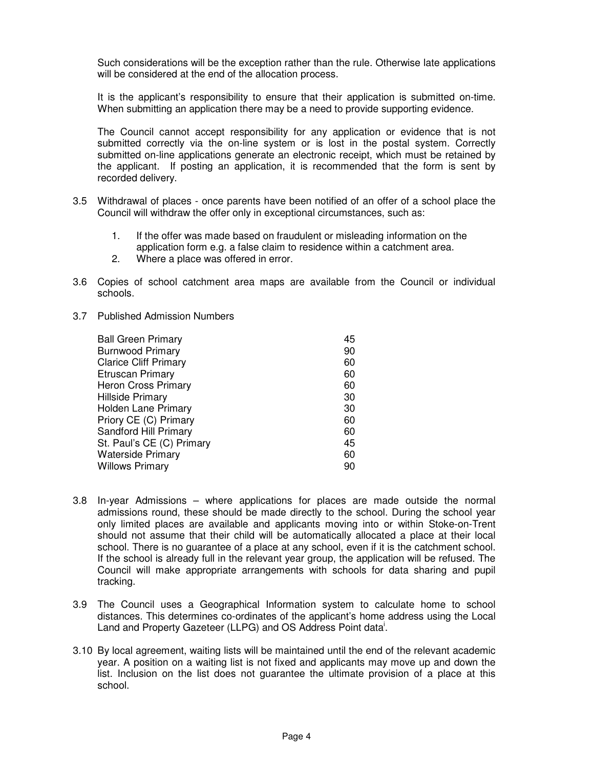Such considerations will be the exception rather than the rule. Otherwise late applications will be considered at the end of the allocation process.

It is the applicant's responsibility to ensure that their application is submitted on-time. When submitting an application there may be a need to provide supporting evidence.

The Council cannot accept responsibility for any application or evidence that is not submitted correctly via the on-line system or is lost in the postal system. Correctly submitted on-line applications generate an electronic receipt, which must be retained by the applicant. If posting an application, it is recommended that the form is sent by recorded delivery.

- 3.5 Withdrawal of places once parents have been notified of an offer of a school place the Council will withdraw the offer only in exceptional circumstances, such as:
	- 1. If the offer was made based on fraudulent or misleading information on the
	- application form e.g. a false claim to residence within a catchment area.
	- 2. Where a place was offered in error.
- 3.6 Copies of school catchment area maps are available from the Council or individual schools.
- 3.7 Published Admission Numbers

- 3.8 In-year Admissions where applications for places are made outside the normal admissions round, these should be made directly to the school. During the school year only limited places are available and applicants moving into or within Stoke-on-Trent should not assume that their child will be automatically allocated a place at their local school. There is no guarantee of a place at any school, even if it is the catchment school. If the school is already full in the relevant year group, the application will be refused. The Council will make appropriate arrangements with schools for data sharing and pupil tracking.
- 3.9 The Council uses a Geographical Information system to calculate home to school distances. This determines co-ordinates of the applicant's home address using the Local Land and Property Gazeteer (LLPG) and OS Address Point data<sup>i</sup>.
- 3.10 By local agreement, waiting lists will be maintained until the end of the relevant academic year. A position on a waiting list is not fixed and applicants may move up and down the list. Inclusion on the list does not guarantee the ultimate provision of a place at this school.